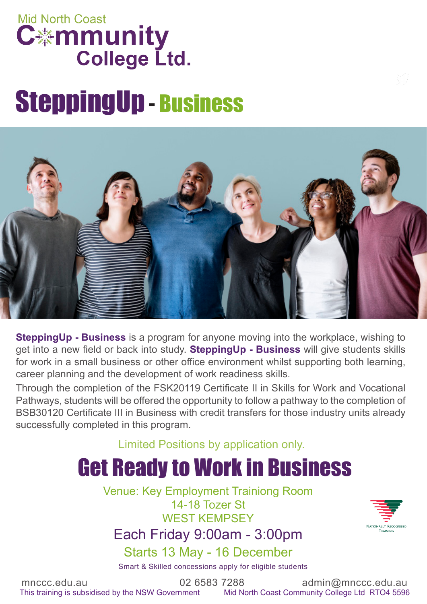### **Mid North Coast C\*mmunity College Ltd.**

# SteppingUp - Business



**SteppingUp - Business** is a program for anyone moving into the workplace, wishing to get into a new field or back into study. **SteppingUp - Business** will give students skills for work in a small business or other office environment whilst supporting both learning, career planning and the development of work readiness skills.

Through the completion of the FSK20119 Certificate II in Skills for Work and Vocational Pathways, students will be offered the opportunity to follow a pathway to the completion of BSB30120 Certificate III in Business with credit transfers for those industry units already successfully completed in this program.

Limited Positions by application only.

### Get Ready to Work in Business

Venue: Key Employment Trainiong Room 14-18 Tozer St WEST KEMPSEY

Each Friday 9:00am - 3:00pm

Starts 13 May - 16 December

Smart & Skilled concessions apply for eligible students

mnccc.edu.au  $02\,6583\,7288$  admin@mnccc.edu.au This training is subsidised by the NSW Government Mid North Coast Community College Ltd RTO4 5596